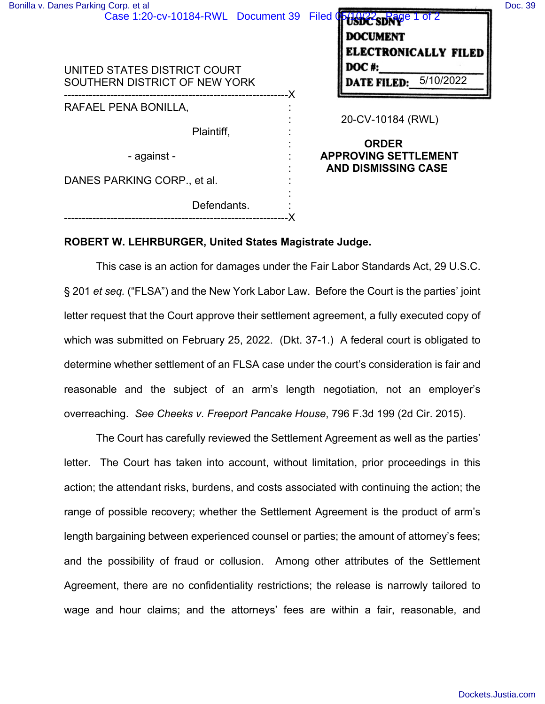| Bonilla v. Danes Parking Corp. et al<br>Case 1:20-cv-10184-RWL Document 39 | Doc. 39<br>Filed Oblight SDNP 1 of 2<br><b>DOCUMENT</b><br><b>ELECTRONICALLY FILED</b> |
|----------------------------------------------------------------------------|----------------------------------------------------------------------------------------|
| UNITED STATES DISTRICT COURT<br>SOUTHERN DISTRICT OF NEW YORK              | DOC#:<br><b>DATE FILED:</b> 5/10/2022                                                  |
| RAFAEL PENA BONILLA,                                                       | 20-CV-10184 (RWL)                                                                      |
| Plaintiff,                                                                 | <b>ORDER</b>                                                                           |
| - against -                                                                | <b>APPROVING SETTLEMENT</b><br><b>AND DISMISSING CASE</b>                              |
| DANES PARKING CORP., et al.                                                |                                                                                        |
| Defendants.                                                                |                                                                                        |
|                                                                            |                                                                                        |

## **ROBERT W. LEHRBURGER, United States Magistrate Judge.**

This case is an action for damages under the Fair Labor Standards Act, 29 U.S.C. § 201 *et seq.* ("FLSA") and the New York Labor Law. Before the Court is the parties' joint letter request that the Court approve their settlement agreement, a fully executed copy of which was submitted on February 25, 2022. (Dkt. 37-1.) A federal court is obligated to determine whether settlement of an FLSA case under the court's consideration is fair and reasonable and the subject of an arm's length negotiation, not an employer's overreaching. *See Cheeks v. Freeport Pancake House*, 796 F.3d 199 (2d Cir. 2015).

The Court has carefully reviewed the Settlement Agreement as well as the parties' letter. The Court has taken into account, without limitation, prior proceedings in this action; the attendant risks, burdens, and costs associated with continuing the action; the range of possible recovery; whether the Settlement Agreement is the product of arm's length bargaining between experienced counsel or parties; the amount of attorney's fees; and the possibility of fraud or collusion. Among other attributes of the Settlement Agreement, there are no confidentiality restrictions; the release is narrowly tailored to wage and hour claims; and the attorneys' fees are within a fair, reasonable, and